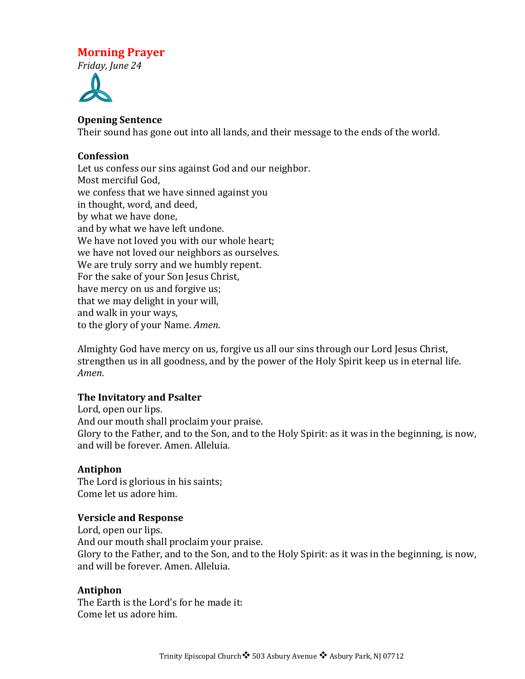# **Morning Prayer**

*Friday, June 24*



## **Opening Sentence**

Their sound has gone out into all lands, and their message to the ends of the world.

## **Confession**

Let us confess our sins against God and our neighbor. Most merciful God, we confess that we have sinned against you in thought, word, and deed, by what we have done, and by what we have left undone. We have not loved you with our whole heart; we have not loved our neighbors as ourselves. We are truly sorry and we humbly repent. For the sake of your Son Jesus Christ, have mercy on us and forgive us; that we may delight in your will, and walk in your ways, to the glory of your Name. *Amen*.

Almighty God have mercy on us, forgive us all our sins through our Lord Jesus Christ, strengthen us in all goodness, and by the power of the Holy Spirit keep us in eternal life. *Amen*.

#### **The Invitatory and Psalter**

Lord, open our lips. And our mouth shall proclaim your praise. Glory to the Father, and to the Son, and to the Holy Spirit: as it was in the beginning, is now, and will be forever. Amen. Alleluia.

# **Antiphon**

The Lord is glorious in his saints; Come let us adore him.

# **Versicle and Response**

Lord, open our lips. And our mouth shall proclaim your praise. Glory to the Father, and to the Son, and to the Holy Spirit: as it was in the beginning, is now, and will be forever. Amen. Alleluia.

# **Antiphon**

The Earth is the Lord's for he made it: Come let us adore him.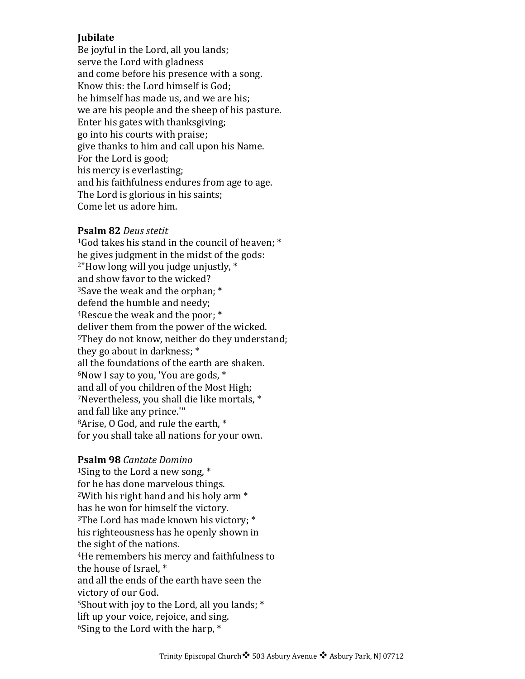## **Jubilate**

Be joyful in the Lord, all you lands; serve the Lord with gladness and come before his presence with a song. Know this: the Lord himself is God: he himself has made us, and we are his; we are his people and the sheep of his pasture. Enter his gates with thanksgiving; go into his courts with praise; give thanks to him and call upon his Name. For the Lord is good; his mercy is everlasting; and his faithfulness endures from age to age. The Lord is glorious in his saints: Come let us adore him.

#### **Psalm 82** *Deus stetit*

<sup>1</sup>God takes his stand in the council of heaven;  $*$ he gives judgment in the midst of the gods:  $2$ "How long will you judge unjustly,  $*$ and show favor to the wicked?  $3$ Save the weak and the orphan;  $*$ defend the humble and needy; <sup>4</sup>Rescue the weak and the poor;  $*$ deliver them from the power of the wicked. <sup>5</sup>They do not know, neither do they understand; they go about in darkness;  $*$ all the foundations of the earth are shaken.  $6$ Now I say to you, 'You are gods,  $*$ and all of you children of the Most High; <sup>7</sup>Nevertheless, you shall die like mortals, \* and fall like any prince."" <sup>8</sup>Arise, O God, and rule the earth, \* for you shall take all nations for your own.

#### **Psalm 98** *Cantate Domino*

<sup>1</sup>Sing to the Lord a new song,  $*$ for he has done marvelous things. <sup>2</sup>With his right hand and his holy arm  $*$ has he won for himself the victory. <sup>3</sup>The Lord has made known his victory;  $*$ his righteousness has he openly shown in the sight of the nations. <sup>4</sup>He remembers his mercy and faithfulness to the house of Israel. $*$ and all the ends of the earth have seen the victory of our God. <sup>5</sup>Shout with joy to the Lord, all you lands;  $*$ lift up your voice, rejoice, and sing.  $6$ Sing to the Lord with the harp,  $*$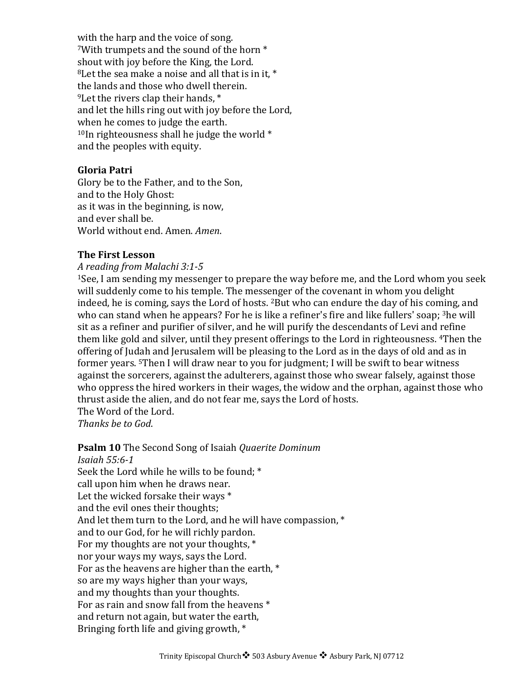with the harp and the voice of song. <sup>7</sup>With trumpets and the sound of the horn  $*$ shout with joy before the King, the Lord.  $8$ Let the sea make a noise and all that is in it.  $*$ the lands and those who dwell therein.  $9$ Let the rivers clap their hands,  $*$ and let the hills ring out with joy before the Lord, when he comes to judge the earth.  $10$ In righteousness shall he judge the world  $*$ and the peoples with equity.

#### **Gloria Patri**

Glory be to the Father, and to the Son, and to the Holy Ghost: as it was in the beginning, is now, and ever shall be. World without end. Amen. *Amen.* 

#### **The First Lesson**

#### *A reading from Malachi 3:1-5*

 $1$ See, I am sending my messenger to prepare the way before me, and the Lord whom you seek will suddenly come to his temple. The messenger of the covenant in whom you delight indeed, he is coming, says the Lord of hosts. <sup>2</sup>But who can endure the day of his coming, and who can stand when he appears? For he is like a refiner's fire and like fullers' soap;  $3$ he will sit as a refiner and purifier of silver, and he will purify the descendants of Levi and refine them like gold and silver, until they present offerings to the Lord in righteousness. <sup>4</sup>Then the offering of Judah and Jerusalem will be pleasing to the Lord as in the days of old and as in former years. <sup>5</sup>Then I will draw near to you for judgment; I will be swift to bear witness against the sorcerers, against the adulterers, against those who swear falsely, against those who oppress the hired workers in their wages, the widow and the orphan, against those who thrust aside the alien, and do not fear me, says the Lord of hosts. The Word of the Lord.

*Thanks be to God*.

# **Psalm 10** The Second Song of Isaiah *Quaerite Dominum*

*Isaiah 55:6-1* Seek the Lord while he wills to be found; \* call upon him when he draws near. Let the wicked forsake their ways  $*$ and the evil ones their thoughts; And let them turn to the Lord, and he will have compassion,  $*$ and to our God, for he will richly pardon. For my thoughts are not your thoughts,  $*$ nor your ways my ways, says the Lord. For as the heavens are higher than the earth,  $*$ so are my ways higher than your ways, and my thoughts than your thoughts. For as rain and snow fall from the heavens  $*$ and return not again, but water the earth, Bringing forth life and giving growth,  $*$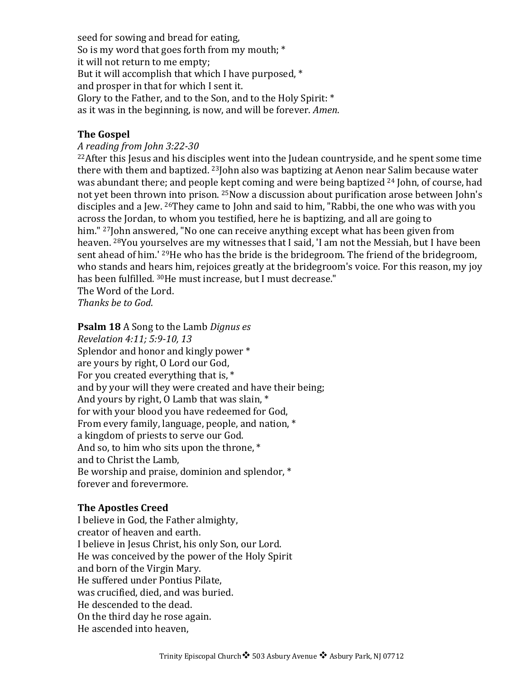seed for sowing and bread for eating, So is my word that goes forth from my mouth;  $*$ it will not return to me empty; But it will accomplish that which I have purposed,  $*$ and prosper in that for which I sent it. Glory to the Father, and to the Son, and to the Holy Spirit:  $*$ as it was in the beginning, is now, and will be forever. *Amen*.

#### **The Gospel**

#### *A reading from John 3:22-30*

 $22$ After this Jesus and his disciples went into the Judean countryside, and he spent some time there with them and baptized.  $23$  John also was baptizing at Aenon near Salim because water was abundant there; and people kept coming and were being baptized  $24$  John, of course, had not vet been thrown into prison. <sup>25</sup>Now a discussion about purification arose between John's disciples and a Jew. <sup>26</sup>They came to John and said to him, "Rabbi, the one who was with you across the Jordan, to whom you testified, here he is baptizing, and all are going to him." <sup>27</sup>John answered, "No one can receive anything except what has been given from heaven. <sup>28</sup>You yourselves are my witnesses that I said, 'I am not the Messiah, but I have been sent ahead of him.' <sup>29</sup>He who has the bride is the bridegroom. The friend of the bridegroom, who stands and hears him, rejoices greatly at the bridegroom's voice. For this reason, my joy has been fulfilled. <sup>30</sup>He must increase, but I must decrease."

The Word of the Lord. *Thanks be to God*.

**Psalm 18** A Song to the Lamb *Dignus es Revelation 4:11; 5:9-10, 13* Splendor and honor and kingly power \* are yours by right, O Lord our God, For you created everything that is,  $*$ and by your will they were created and have their being; And yours by right,  $0$  Lamb that was slain,  $*$ for with your blood you have redeemed for God, From every family, language, people, and nation, \* a kingdom of priests to serve our God. And so, to him who sits upon the throne,  $*$ and to Christ the Lamb, Be worship and praise, dominion and splendor,  $*$ forever and forevermore.

#### **The Apostles Creed**

I believe in God, the Father almighty, creator of heaven and earth. I believe in Jesus Christ, his only Son, our Lord. He was conceived by the power of the Holy Spirit and born of the Virgin Mary. He suffered under Pontius Pilate, was crucified, died, and was buried. He descended to the dead. On the third day he rose again. He ascended into heaven,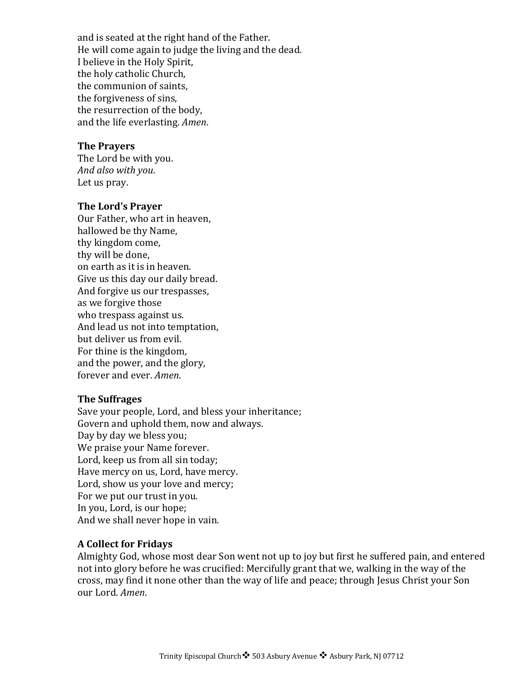and is seated at the right hand of the Father. He will come again to judge the living and the dead. I believe in the Holy Spirit, the holy catholic Church, the communion of saints. the forgiveness of sins, the resurrection of the body, and the life everlasting. *Amen*.

# **The Prayers**

The Lord be with you. *And also with you*. Let us pray.

#### **The Lord's Prayer**

Our Father, who art in heaven, hallowed be thy Name, thy kingdom come, thy will be done, on earth as it is in heaven. Give us this day our daily bread. And forgive us our trespasses, as we forgive those who trespass against us. And lead us not into temptation, but deliver us from evil. For thine is the kingdom, and the power, and the glory, forever and ever. *Amen*.

#### **The Suffrages**

Save your people, Lord, and bless your inheritance; Govern and uphold them, now and always. Day by day we bless you; We praise your Name forever. Lord, keep us from all sin today; Have mercy on us, Lord, have mercy. Lord, show us your love and mercy; For we put our trust in you. In you, Lord, is our hope; And we shall never hope in vain.

# **A Collect for Fridays**

Almighty God, whose most dear Son went not up to joy but first he suffered pain, and entered not into glory before he was crucified: Mercifully grant that we, walking in the way of the cross, may find it none other than the way of life and peace; through Jesus Christ your Son our Lord. *Amen*.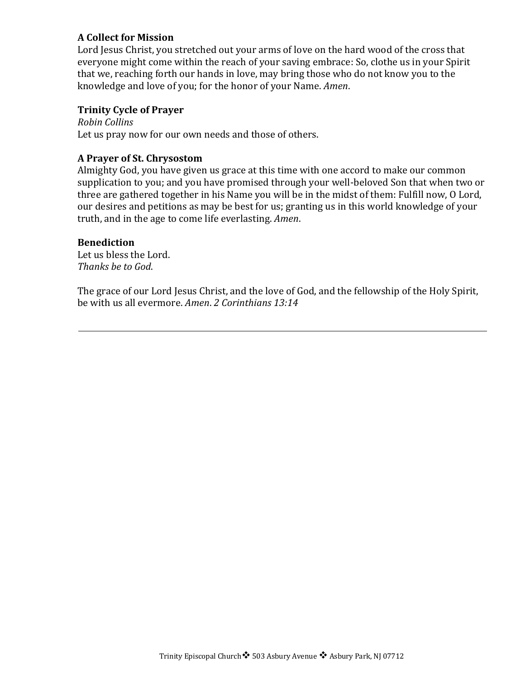# **A Collect for Mission**

Lord Jesus Christ, you stretched out your arms of love on the hard wood of the cross that everyone might come within the reach of your saving embrace: So, clothe us in your Spirit that we, reaching forth our hands in love, may bring those who do not know you to the knowledge and love of you; for the honor of your Name. *Amen*.

#### **Trinity Cycle of Prayer**

*Robin Collins* Let us pray now for our own needs and those of others.

#### **A Prayer of St. Chrysostom**

Almighty God, you have given us grace at this time with one accord to make our common supplication to you; and you have promised through your well-beloved Son that when two or three are gathered together in his Name you will be in the midst of them: Fulfill now, O Lord, our desires and petitions as may be best for us; granting us in this world knowledge of your truth, and in the age to come life everlasting. *Amen*.

#### **Benediction**

Let us bless the Lord. *Thanks be to God*.

The grace of our Lord Jesus Christ, and the love of God, and the fellowship of the Holy Spirit, be with us all evermore. *Amen. 2 Corinthians* 13:14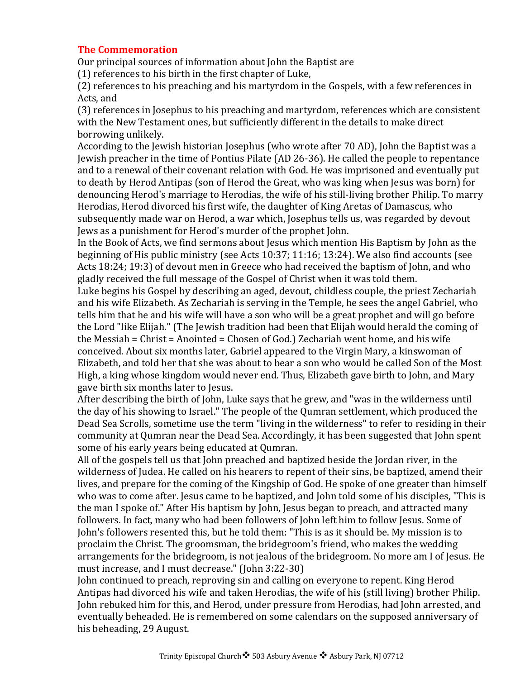## **The Commemoration**

Our principal sources of information about John the Baptist are

 $(1)$  references to his birth in the first chapter of Luke,

(2) references to his preaching and his martyrdom in the Gospels, with a few references in Acts, and

(3) references in Josephus to his preaching and martyrdom, references which are consistent with the New Testament ones, but sufficiently different in the details to make direct borrowing unlikely.

According to the Jewish historian Josephus (who wrote after 70 AD), John the Baptist was a Jewish preacher in the time of Pontius Pilate (AD 26-36). He called the people to repentance and to a renewal of their covenant relation with God. He was imprisoned and eventually put to death by Herod Antipas (son of Herod the Great, who was king when Jesus was born) for denouncing Herod's marriage to Herodias, the wife of his still-living brother Philip. To marry Herodias, Herod divorced his first wife, the daughter of King Aretas of Damascus, who subsequently made war on Herod, a war which, Josephus tells us, was regarded by devout Jews as a punishment for Herod's murder of the prophet John.

In the Book of Acts, we find sermons about Jesus which mention His Baptism by John as the beginning of His public ministry (see Acts  $10:37$ ;  $11:16$ ;  $13:24$ ). We also find accounts (see Acts 18:24; 19:3) of devout men in Greece who had received the baptism of John, and who gladly received the full message of the Gospel of Christ when it was told them.

Luke begins his Gospel by describing an aged, devout, childless couple, the priest Zechariah and his wife Elizabeth. As Zechariah is serving in the Temple, he sees the angel Gabriel, who tells him that he and his wife will have a son who will be a great prophet and will go before the Lord "like Elijah." (The Jewish tradition had been that Elijah would herald the coming of the Messiah = Christ = Anointed = Chosen of God.) Zechariah went home, and his wife conceived. About six months later, Gabriel appeared to the Virgin Mary, a kinswoman of Elizabeth, and told her that she was about to bear a son who would be called Son of the Most High, a king whose kingdom would never end. Thus, Elizabeth gave birth to John, and Mary gave birth six months later to Jesus.

After describing the birth of John, Luke says that he grew, and "was in the wilderness until the day of his showing to Israel." The people of the Qumran settlement, which produced the Dead Sea Scrolls, sometime use the term "living in the wilderness" to refer to residing in their community at Qumran near the Dead Sea. Accordingly, it has been suggested that John spent some of his early years being educated at Qumran.

All of the gospels tell us that John preached and baptized beside the Jordan river, in the wilderness of Judea. He called on his hearers to repent of their sins, be baptized, amend their lives, and prepare for the coming of the Kingship of God. He spoke of one greater than himself who was to come after. Jesus came to be baptized, and John told some of his disciples, "This is the man I spoke of." After His baptism by John, Jesus began to preach, and attracted many followers. In fact, many who had been followers of John left him to follow Jesus. Some of John's followers resented this, but he told them: "This is as it should be. My mission is to proclaim the Christ. The groomsman, the bridegroom's friend, who makes the wedding arrangements for the bridegroom, is not jealous of the bridegroom. No more am I of Jesus. He must increase, and I must decrease." (John 3:22-30)

John continued to preach, reproving sin and calling on everyone to repent. King Herod Antipas had divorced his wife and taken Herodias, the wife of his (still living) brother Philip. John rebuked him for this, and Herod, under pressure from Herodias, had John arrested, and eventually beheaded. He is remembered on some calendars on the supposed anniversary of his beheading, 29 August.